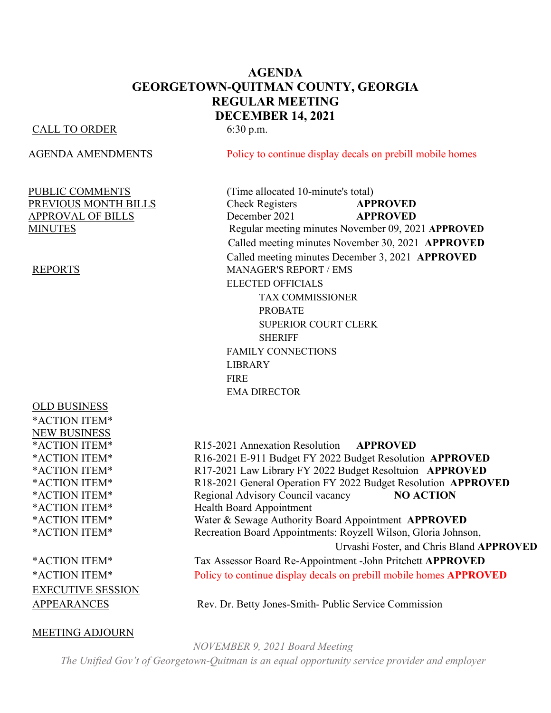# **AGENDA GEORGETOWN-QUITMAN COUNTY, GEORGIA REGULAR MEETING DECEMBER 14, 2021**

### CALL TO ORDER 6:30 p.m.

OLD BUSINESS \*ACTION ITEM\* NEW BUSINESS

EXECUTIVE SESSION

### MEETING ADJOURN

AGENDA AMENDMENTS Policy to continue display decals on prebill mobile homes

PUBLIC COMMENTS (Time allocated 10-minute's total) PREVIOUS MONTH BILLS Check Registers **APPROVED** APPROVAL OF BILLS December 2021 **APPROVED** MINUTES Regular meeting minutes November 09, 2021 **APPROVED** Called meeting minutes November 30, 2021 **APPROVED** Called meeting minutes December 3, 2021 **APPROVED** REPORTS MANAGER'S REPORT / EMS ELECTED OFFICIALS TAX COMMISSIONER PROBATE SUPERIOR COURT CLERK **SHERIFF** FAMILY CONNECTIONS LIBRARY **FIRE** EMA DIRECTOR

\*ACTION ITEM\* R15-2021 Annexation Resolution **APPROVED** \*ACTION ITEM\* R16-2021 E-911 Budget FY 2022 Budget Resolution **APPROVED** \*ACTION ITEM\* R17-2021 Law Library FY 2022 Budget Resoltuion **APPROVED** \*ACTION ITEM\* R18-2021 General Operation FY 2022 Budget Resolution **APPROVED** \*ACTION ITEM\* Regional Advisory Council vacancy **NO ACTION** \*ACTION ITEM\* Health Board Appointment \*ACTION ITEM\* Water & Sewage Authority Board Appointment **APPROVED** \*ACTION ITEM\* Recreation Board Appointments: Royzell Wilson, Gloria Johnson, Urvashi Foster, and Chris Bland **APPROVED** \*ACTION ITEM\* Tax Assessor Board Re-Appointment -John Pritchett **APPROVED** \*ACTION ITEM\* Policy to continue display decals on prebill mobile homes **APPROVED**

APPEARANCES Rev. Dr. Betty Jones-Smith- Public Service Commission

*NOVEMBER 9, 2021 Board Meeting The Unified Gov't of Georgetown-Quitman is an equal opportunity service provider and employer*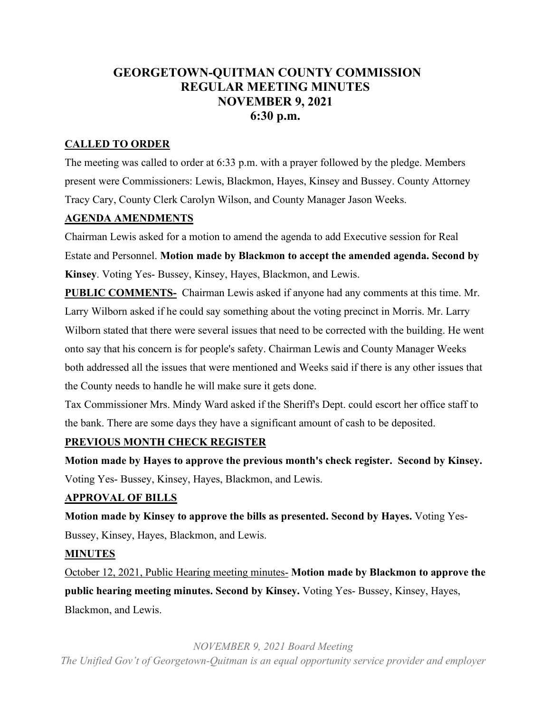# **GEORGETOWN-QUITMAN COUNTY COMMISSION REGULAR MEETING MINUTES NOVEMBER 9, 2021 6:30 p.m.**

# **CALLED TO ORDER**

The meeting was called to order at 6:33 p.m. with a prayer followed by the pledge. Members present were Commissioners: Lewis, Blackmon, Hayes, Kinsey and Bussey. County Attorney Tracy Cary, County Clerk Carolyn Wilson, and County Manager Jason Weeks.

# **AGENDA AMENDMENTS**

Chairman Lewis asked for a motion to amend the agenda to add Executive session for Real Estate and Personnel. **Motion made by Blackmon to accept the amended agenda. Second by Kinsey**. Voting Yes- Bussey, Kinsey, Hayes, Blackmon, and Lewis.

**PUBLIC COMMENTS-** Chairman Lewis asked if anyone had any comments at this time. Mr. Larry Wilborn asked if he could say something about the voting precinct in Morris. Mr. Larry Wilborn stated that there were several issues that need to be corrected with the building. He went onto say that his concern is for people's safety. Chairman Lewis and County Manager Weeks both addressed all the issues that were mentioned and Weeks said if there is any other issues that the County needs to handle he will make sure it gets done.

Tax Commissioner Mrs. Mindy Ward asked if the Sheriff's Dept. could escort her office staff to the bank. There are some days they have a significant amount of cash to be deposited.

# **PREVIOUS MONTH CHECK REGISTER**

**Motion made by Hayes to approve the previous month's check register. Second by Kinsey.** Voting Yes- Bussey, Kinsey, Hayes, Blackmon, and Lewis.

# **APPROVAL OF BILLS**

**Motion made by Kinsey to approve the bills as presented. Second by Hayes.** Voting Yes-Bussey, Kinsey, Hayes, Blackmon, and Lewis.

# **MINUTES**

October 12, 2021, Public Hearing meeting minutes- **Motion made by Blackmon to approve the public hearing meeting minutes. Second by Kinsey.** Voting Yes- Bussey, Kinsey, Hayes, Blackmon, and Lewis.

*NOVEMBER 9, 2021 Board Meeting*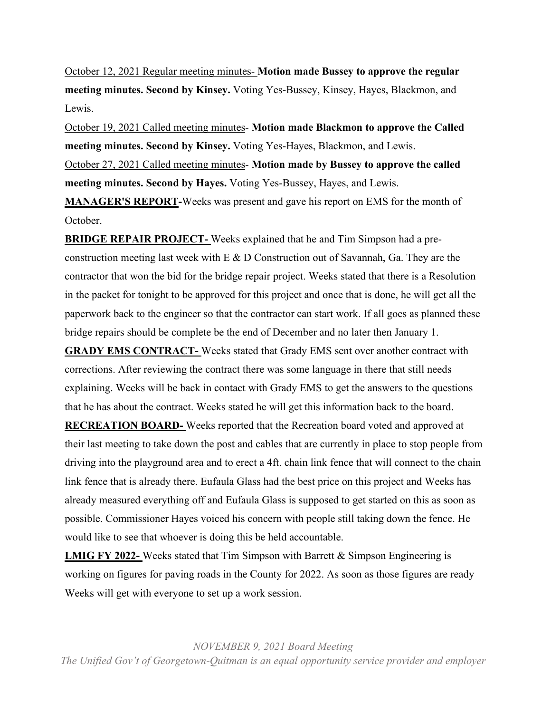October 12, 2021 Regular meeting minutes- **Motion made Bussey to approve the regular meeting minutes. Second by Kinsey.** Voting Yes-Bussey, Kinsey, Hayes, Blackmon, and Lewis.

October 19, 2021 Called meeting minutes- **Motion made Blackmon to approve the Called meeting minutes. Second by Kinsey.** Voting Yes-Hayes, Blackmon, and Lewis. October 27, 2021 Called meeting minutes- **Motion made by Bussey to approve the called meeting minutes. Second by Hayes.** Voting Yes-Bussey, Hayes, and Lewis.

**MANAGER'S REPORT-**Weeks was present and gave his report on EMS for the month of October.

**BRIDGE REPAIR PROJECT-** Weeks explained that he and Tim Simpson had a preconstruction meeting last week with E & D Construction out of Savannah, Ga. They are the contractor that won the bid for the bridge repair project. Weeks stated that there is a Resolution in the packet for tonight to be approved for this project and once that is done, he will get all the paperwork back to the engineer so that the contractor can start work. If all goes as planned these bridge repairs should be complete be the end of December and no later then January 1.

**GRADY EMS CONTRACT-** Weeks stated that Grady EMS sent over another contract with corrections. After reviewing the contract there was some language in there that still needs explaining. Weeks will be back in contact with Grady EMS to get the answers to the questions that he has about the contract. Weeks stated he will get this information back to the board.

**RECREATION BOARD-** Weeks reported that the Recreation board voted and approved at their last meeting to take down the post and cables that are currently in place to stop people from driving into the playground area and to erect a 4ft. chain link fence that will connect to the chain link fence that is already there. Eufaula Glass had the best price on this project and Weeks has already measured everything off and Eufaula Glass is supposed to get started on this as soon as possible. Commissioner Hayes voiced his concern with people still taking down the fence. He would like to see that whoever is doing this be held accountable.

**LMIG FY 2022-** Weeks stated that Tim Simpson with Barrett & Simpson Engineering is working on figures for paving roads in the County for 2022. As soon as those figures are ready Weeks will get with everyone to set up a work session.

*NOVEMBER 9, 2021 Board Meeting*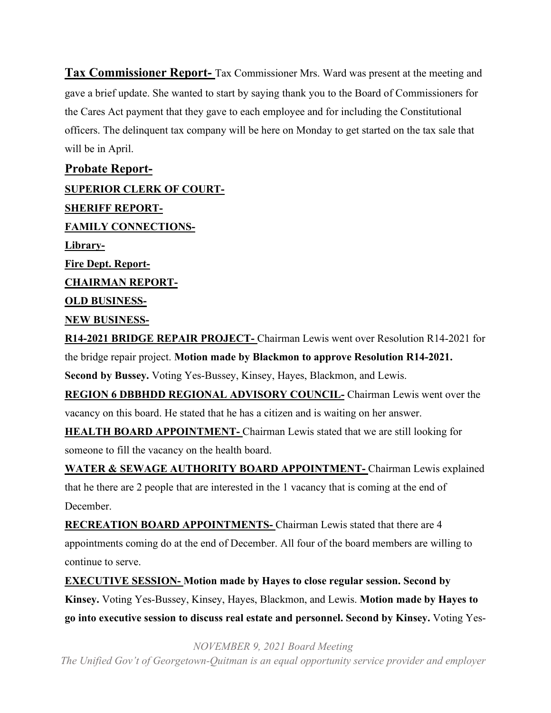**Tax Commissioner Report-** Tax Commissioner Mrs. Ward was present at the meeting and gave a brief update. She wanted to start by saying thank you to the Board of Commissioners for the Cares Act payment that they gave to each employee and for including the Constitutional officers. The delinquent tax company will be here on Monday to get started on the tax sale that will be in April.

**Probate Report-SUPERIOR CLERK OF COURT-SHERIFF REPORT-FAMILY CONNECTIONS-Library-Fire Dept. Report-CHAIRMAN REPORT-OLD BUSINESS-NEW BUSINESS-R14-2021 BRIDGE REPAIR PROJECT-** Chairman Lewis went over Resolution R14-2021 for the bridge repair project. **Motion made by Blackmon to approve Resolution R14-2021. Second by Bussey.** Voting Yes-Bussey, Kinsey, Hayes, Blackmon, and Lewis. **REGION 6 DBBHDD REGIONAL ADVISORY COUNCIL-** Chairman Lewis went over the vacancy on this board. He stated that he has a citizen and is waiting on her answer. **HEALTH BOARD APPOINTMENT-** Chairman Lewis stated that we are still looking for someone to fill the vacancy on the health board. **WATER & SEWAGE AUTHORITY BOARD APPOINTMENT-** Chairman Lewis explained

that he there are 2 people that are interested in the 1 vacancy that is coming at the end of December.

**RECREATION BOARD APPOINTMENTS-** Chairman Lewis stated that there are 4 appointments coming do at the end of December. All four of the board members are willing to continue to serve.

**EXECUTIVE SESSION- Motion made by Hayes to close regular session. Second by Kinsey.** Voting Yes-Bussey, Kinsey, Hayes, Blackmon, and Lewis. **Motion made by Hayes to go into executive session to discuss real estate and personnel. Second by Kinsey.** Voting Yes-

*NOVEMBER 9, 2021 Board Meeting*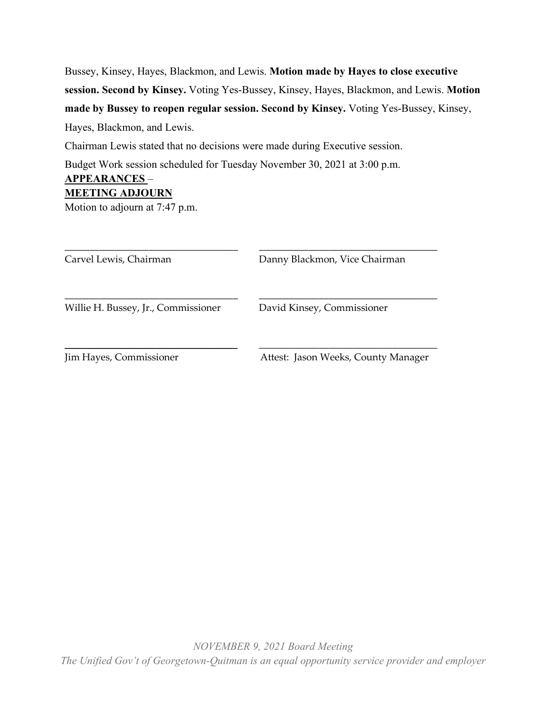Bussey, Kinsey, Hayes, Blackmon, and Lewis. **Motion made by Hayes to close executive session. Second by Kinsey.** Voting Yes-Bussey, Kinsey, Hayes, Blackmon, and Lewis. **Motion made by Bussey to reopen regular session. Second by Kinsey.** Voting Yes-Bussey, Kinsey, Hayes, Blackmon, and Lewis.

Chairman Lewis stated that no decisions were made during Executive session.

Budget Work session scheduled for Tuesday November 30, 2021 at 3:00 p.m.

# **APPEARANCES** –

# **MEETING ADJOURN**

Motion to adjourn at 7:47 p.m.

| Carvel Lewis, Chairman              | Danny Blackmon, Vice Chairman       |
|-------------------------------------|-------------------------------------|
| Willie H. Bussey, Jr., Commissioner | David Kinsey, Commissioner          |
| Jim Hayes, Commissioner             | Attest: Jason Weeks, County Manager |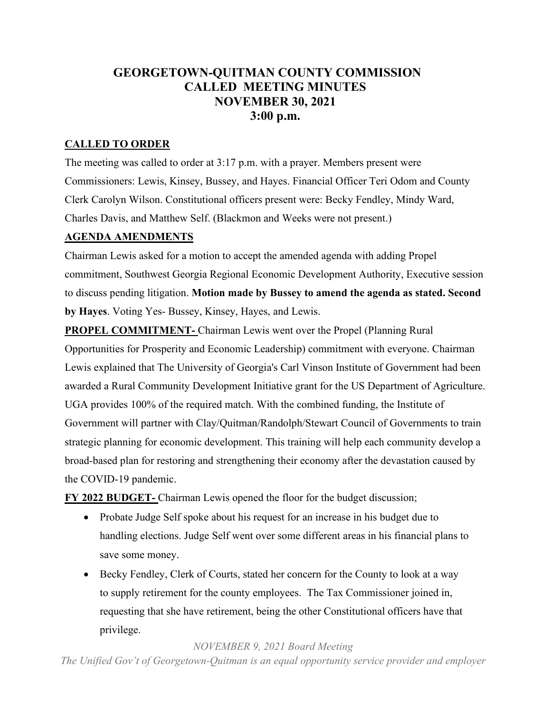# **GEORGETOWN-QUITMAN COUNTY COMMISSION CALLED MEETING MINUTES NOVEMBER 30, 2021 3:00 p.m.**

# **CALLED TO ORDER**

The meeting was called to order at 3:17 p.m. with a prayer. Members present were Commissioners: Lewis, Kinsey, Bussey, and Hayes. Financial Officer Teri Odom and County Clerk Carolyn Wilson. Constitutional officers present were: Becky Fendley, Mindy Ward, Charles Davis, and Matthew Self. (Blackmon and Weeks were not present.)

## **AGENDA AMENDMENTS**

Chairman Lewis asked for a motion to accept the amended agenda with adding Propel commitment, Southwest Georgia Regional Economic Development Authority, Executive session to discuss pending litigation. **Motion made by Bussey to amend the agenda as stated. Second by Hayes**. Voting Yes- Bussey, Kinsey, Hayes, and Lewis.

**PROPEL COMMITMENT-** Chairman Lewis went over the Propel (Planning Rural Opportunities for Prosperity and Economic Leadership) commitment with everyone. Chairman Lewis explained that The University of Georgia's Carl Vinson Institute of Government had been awarded a Rural Community Development Initiative grant for the US Department of Agriculture. UGA provides 100% of the required match. With the combined funding, the Institute of Government will partner with Clay/Quitman/Randolph/Stewart Council of Governments to train strategic planning for economic development. This training will help each community develop a broad-based plan for restoring and strengthening their economy after the devastation caused by the COVID-19 pandemic.

**FY 2022 BUDGET-** Chairman Lewis opened the floor for the budget discussion;

- Probate Judge Self spoke about his request for an increase in his budget due to handling elections. Judge Self went over some different areas in his financial plans to save some money.
- Becky Fendley, Clerk of Courts, stated her concern for the County to look at a way to supply retirement for the county employees. The Tax Commissioner joined in, requesting that she have retirement, being the other Constitutional officers have that privilege.

*NOVEMBER 9, 2021 Board Meeting The Unified Gov't of Georgetown-Quitman is an equal opportunity service provider and employer*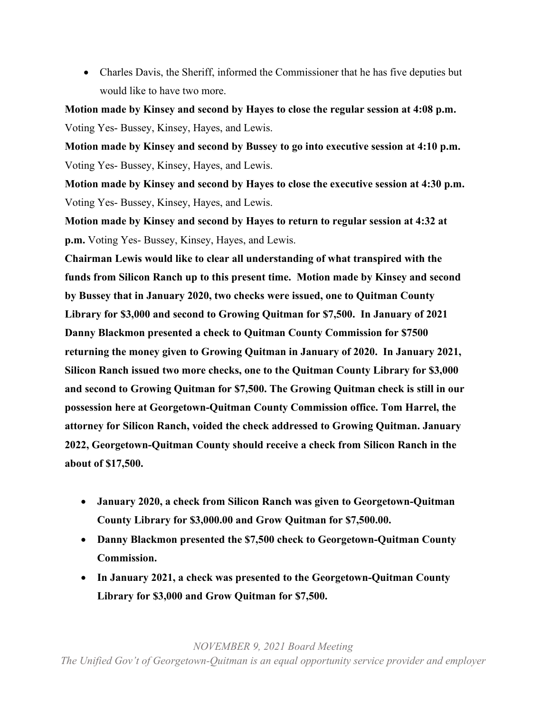• Charles Davis, the Sheriff, informed the Commissioner that he has five deputies but would like to have two more.

**Motion made by Kinsey and second by Hayes to close the regular session at 4:08 p.m.**  Voting Yes- Bussey, Kinsey, Hayes, and Lewis.

**Motion made by Kinsey and second by Bussey to go into executive session at 4:10 p.m.** Voting Yes- Bussey, Kinsey, Hayes, and Lewis.

**Motion made by Kinsey and second by Hayes to close the executive session at 4:30 p.m.** Voting Yes- Bussey, Kinsey, Hayes, and Lewis.

**Motion made by Kinsey and second by Hayes to return to regular session at 4:32 at p.m.** Voting Yes- Bussey, Kinsey, Hayes, and Lewis.

**Chairman Lewis would like to clear all understanding of what transpired with the funds from Silicon Ranch up to this present time. Motion made by Kinsey and second by Bussey that in January 2020, two checks were issued, one to Quitman County Library for \$3,000 and second to Growing Quitman for \$7,500. In January of 2021 Danny Blackmon presented a check to Quitman County Commission for \$7500 returning the money given to Growing Quitman in January of 2020. In January 2021, Silicon Ranch issued two more checks, one to the Quitman County Library for \$3,000 and second to Growing Quitman for \$7,500. The Growing Quitman check is still in our possession here at Georgetown-Quitman County Commission office. Tom Harrel, the attorney for Silicon Ranch, voided the check addressed to Growing Quitman. January 2022, Georgetown-Quitman County should receive a check from Silicon Ranch in the about of \$17,500.** 

- **January 2020, a check from Silicon Ranch was given to Georgetown-Quitman County Library for \$3,000.00 and Grow Quitman for \$7,500.00.**
- **Danny Blackmon presented the \$7,500 check to Georgetown-Quitman County Commission.**
- **In January 2021, a check was presented to the Georgetown-Quitman County Library for \$3,000 and Grow Quitman for \$7,500.**

*NOVEMBER 9, 2021 Board Meeting*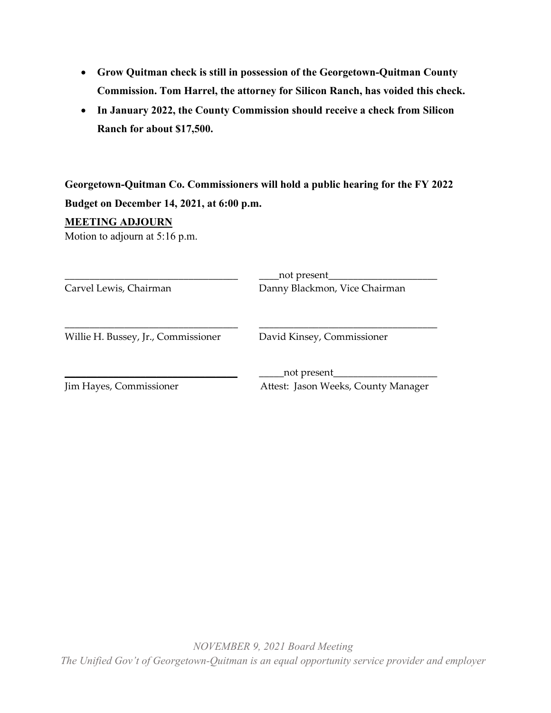- **Grow Quitman check is still in possession of the Georgetown-Quitman County Commission. Tom Harrel, the attorney for Silicon Ranch, has voided this check.**
- **In January 2022, the County Commission should receive a check from Silicon Ranch for about \$17,500.**

**Georgetown-Quitman Co. Commissioners will hold a public hearing for the FY 2022 Budget on December 14, 2021, at 6:00 p.m.** 

### **MEETING ADJOURN**

Motion to adjourn at 5:16 p.m.

| Carvel Lewis, Chairman              | _not present__<br>Danny Blackmon, Vice Chairman      |
|-------------------------------------|------------------------------------------------------|
| Willie H. Bussey, Jr., Commissioner | David Kinsey, Commissioner                           |
| Jim Hayes, Commissioner             | _not present_<br>Attest: Jason Weeks, County Manager |